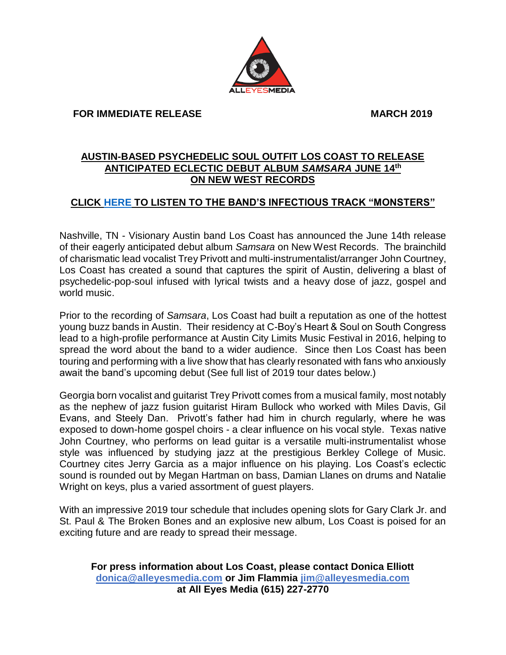#### **FOR IMMEDIATE RELEASE MARCH 2019**

# **AUSTIN-BASED PSYCHEDELIC SOUL OUTFIT LOS COAST TO RELEASE ANTICIPATED ECLECTIC DEBUT ALBUM** *SAMSARA* **JUNE 14th ON NEW WEST RECORDS**

# **CLICK [HERE](https://youtu.be/CxNo8s6HrXs) TO LISTEN TO THE BAND'S INFECTIOUS TRACK "MONSTERS"**

Nashville, TN - Visionary Austin band Los Coast has announced the June 14th release of their eagerly anticipated debut album *Samsara* on New West Records. The brainchild of charismatic lead vocalist Trey Privott and multi-instrumentalist/arranger John Courtney, Los Coast has created a sound that captures the spirit of Austin, delivering a blast of psychedelic-pop-soul infused with lyrical twists and a heavy dose of jazz, gospel and world music.

Prior to the recording of *Samsara*, Los Coast had built a reputation as one of the hottest young buzz bands in Austin. Their residency at C-Boy's Heart & Soul on South Congress lead to a high-profile performance at Austin City Limits Music Festival in 2016, helping to spread the word about the band to a wider audience. Since then Los Coast has been touring and performing with a live show that has clearly resonated with fans who anxiously await the band's upcoming debut (See full list of 2019 tour dates below.)

Georgia born vocalist and guitarist Trey Privott comes from a musical family, most notably as the nephew of jazz fusion guitarist Hiram Bullock who worked with Miles Davis, Gil Evans, and Steely Dan. Privott's father had him in church regularly, where he was exposed to down-home gospel choirs - a clear influence on his vocal style. Texas native John Courtney, who performs on lead guitar is a versatile multi-instrumentalist whose style was influenced by studying jazz at the prestigious Berkley College of Music. Courtney cites Jerry Garcia as a major influence on his playing. Los Coast's eclectic sound is rounded out by Megan Hartman on bass, Damian Llanes on drums and Natalie Wright on keys, plus a varied assortment of guest players.

With an impressive 2019 tour schedule that includes opening slots for Gary Clark Jr. and St. Paul & The Broken Bones and an explosive new album, Los Coast is poised for an exciting future and are ready to spread their message.

### **For press information about Los Coast, please contact Donica Elliott [donica@alleyesmedia.com](mailto:donica@alleyesmedia.com) or Jim Flammia [jim@alleyesmedia.com](mailto:jim@alleyesmedia.com) at All Eyes Media (615) 227-2770**